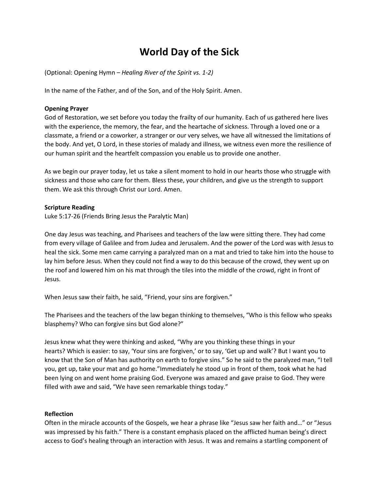# **World Day of the Sick**

(Optional: Opening Hymn – *Healing River of the Spirit vs. 1-2)*

In the name of the Father, and of the Son, and of the Holy Spirit. Amen.

#### **Opening Prayer**

God of Restoration, we set before you today the frailty of our humanity. Each of us gathered here lives with the experience, the memory, the fear, and the heartache of sickness. Through a loved one or a classmate, a friend or a coworker, a stranger or our very selves, we have all witnessed the limitations of the body. And yet, O Lord, in these stories of malady and illness, we witness even more the resilience of our human spirit and the heartfelt compassion you enable us to provide one another.

As we begin our prayer today, let us take a silent moment to hold in our hearts those who struggle with sickness and those who care for them. Bless these, your children, and give us the strength to support them. We ask this through Christ our Lord. Amen.

#### **Scripture Reading**

Luke 5:17-26 (Friends Bring Jesus the Paralytic Man)

One day Jesus was teaching, and Pharisees and teachers of the law were sitting there. They had come from every village of Galilee and from Judea and Jerusalem. And the power of the Lord was with Jesus to heal the sick. Some men came carrying a paralyzed man on a mat and tried to take him into the house to lay him before Jesus. When they could not find a way to do this because of the crowd, they went up on the roof and lowered him on his mat through the tiles into the middle of the crowd, right in front of Jesus.

When Jesus saw their faith, he said, "Friend, your sins are forgiven."

The Pharisees and the teachers of the law began thinking to themselves, "Who is this fellow who speaks blasphemy? Who can forgive sins but God alone?"

Jesus knew what they were thinking and asked, "Why are you thinking these things in your hearts? Which is easier: to say, 'Your sins are forgiven,' or to say, 'Get up and walk'? But I want you to know that the Son of Man has authority on earth to forgive sins." So he said to the paralyzed man, "I tell you, get up, take your mat and go home."Immediately he stood up in front of them, took what he had been lying on and went home praising God. Everyone was amazed and gave praise to God. They were filled with awe and said, "We have seen remarkable things today."

#### **Reflection**

Often in the miracle accounts of the Gospels, we hear a phrase like "Jesus saw her faith and…" or "Jesus was impressed by his faith." There is a constant emphasis placed on the afflicted human being's direct access to God's healing through an interaction with Jesus. It was and remains a startling component of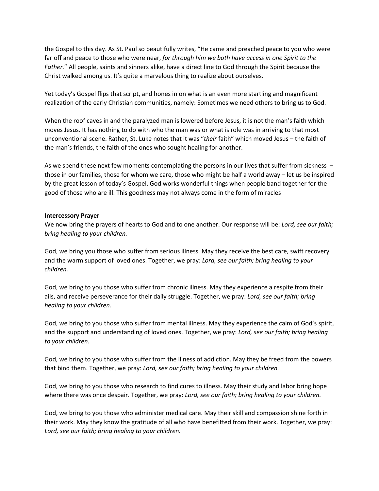the Gospel to this day. As St. Paul so beautifully writes, "He came and preached peace to you who were far off and peace to those who were near, *for through him we both have access in one Spirit to the Father.*" All people, saints and sinners alike, have a direct line to God through the Spirit because the Christ walked among us. It's quite a marvelous thing to realize about ourselves.

Yet today's Gospel flips that script, and hones in on what is an even more startling and magnificent realization of the early Christian communities, namely: Sometimes we need others to bring us to God.

When the roof caves in and the paralyzed man is lowered before Jesus, it is not the man's faith which moves Jesus. It has nothing to do with who the man was or what is role was in arriving to that most unconventional scene. Rather, St. Luke notes that it was "*their* faith" which moved Jesus – the faith of the man's friends, the faith of the ones who sought healing for another.

As we spend these next few moments contemplating the persons in our lives that suffer from sickness – those in our families, those for whom we care, those who might be half a world away – let us be inspired by the great lesson of today's Gospel. God works wonderful things when people band together for the good of those who are ill. This goodness may not always come in the form of miracles

### **Intercessory Prayer**

We now bring the prayers of hearts to God and to one another. Our response will be: *Lord, see our faith; bring healing to your children.*

God, we bring you those who suffer from serious illness. May they receive the best care, swift recovery and the warm support of loved ones. Together, we pray: *Lord, see our faith; bring healing to your children.*

God, we bring to you those who suffer from chronic illness. May they experience a respite from their ails, and receive perseverance for their daily struggle. Together, we pray: *Lord, see our faith; bring healing to your children.*

God, we bring to you those who suffer from mental illness. May they experience the calm of God's spirit, and the support and understanding of loved ones. Together, we pray: *Lord, see our faith; bring healing to your children.*

God, we bring to you those who suffer from the illness of addiction. May they be freed from the powers that bind them. Together, we pray: *Lord, see our faith; bring healing to your children.*

God, we bring to you those who research to find cures to illness. May their study and labor bring hope where there was once despair. Together, we pray: *Lord, see our faith; bring healing to your children.*

God, we bring to you those who administer medical care. May their skill and compassion shine forth in their work. May they know the gratitude of all who have benefitted from their work. Together, we pray: *Lord, see our faith; bring healing to your children.*